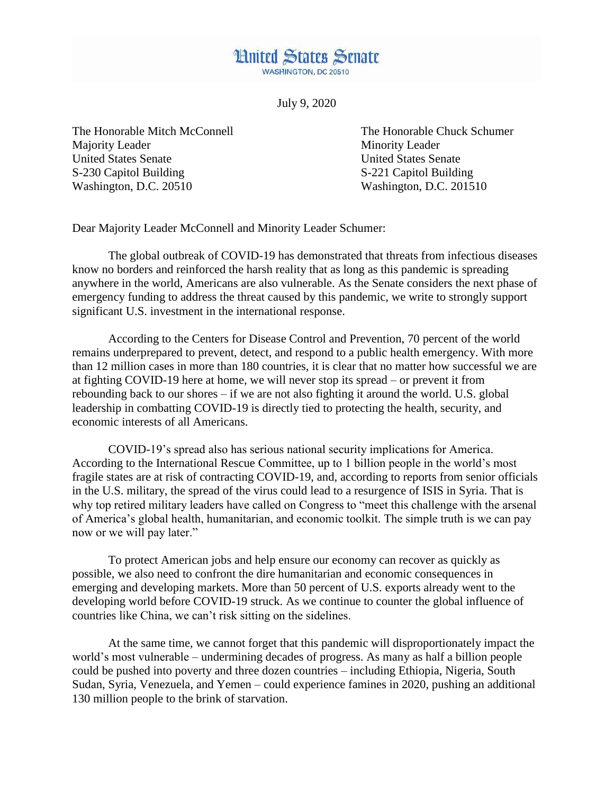**WASHINGTON, DC 20510** 

**Hnited States Senate** 

July 9, 2020

The Honorable Mitch McConnell The Honorable Chuck Schumer Majority Leader Minority Leader United States Senate United States Senate S-230 Capitol Building S-221 Capitol Building Washington, D.C. 20510 Washington, D.C. 201510

Dear Majority Leader McConnell and Minority Leader Schumer:

The global outbreak of COVID-19 has demonstrated that threats from infectious diseases know no borders and reinforced the harsh reality that as long as this pandemic is spreading anywhere in the world, Americans are also vulnerable. As the Senate considers the next phase of emergency funding to address the threat caused by this pandemic, we write to strongly support significant U.S. investment in the international response.

According to the Centers for Disease Control and Prevention, 70 percent of the world remains underprepared to prevent, detect, and respond to a public health emergency. With more than 12 million cases in more than 180 countries, it is clear that no matter how successful we are at fighting COVID-19 here at home, we will never stop its spread – or prevent it from rebounding back to our shores – if we are not also fighting it around the world. U.S. global leadership in combatting COVID-19 is directly tied to protecting the health, security, and economic interests of all Americans.

COVID-19's spread also has serious national security implications for America. According to the International Rescue Committee, up to 1 billion people in the world's most fragile states are at risk of contracting COVID-19, and, according to reports from senior officials in the U.S. military, the spread of the virus could lead to a resurgence of ISIS in Syria. That is why top retired military leaders have called on Congress to "meet this challenge with the arsenal of America's global health, humanitarian, and economic toolkit. The simple truth is we can pay now or we will pay later."

To protect American jobs and help ensure our economy can recover as quickly as possible, we also need to confront the dire humanitarian and economic consequences in emerging and developing markets. More than 50 percent of U.S. exports already went to the developing world before COVID-19 struck. As we continue to counter the global influence of countries like China, we can't risk sitting on the sidelines.

At the same time, we cannot forget that this pandemic will disproportionately impact the world's most vulnerable – undermining decades of progress. As many as half a billion people could be pushed into poverty and three dozen countries – including Ethiopia, Nigeria, South Sudan, Syria, Venezuela, and Yemen – could experience famines in 2020, pushing an additional 130 million people to the brink of starvation.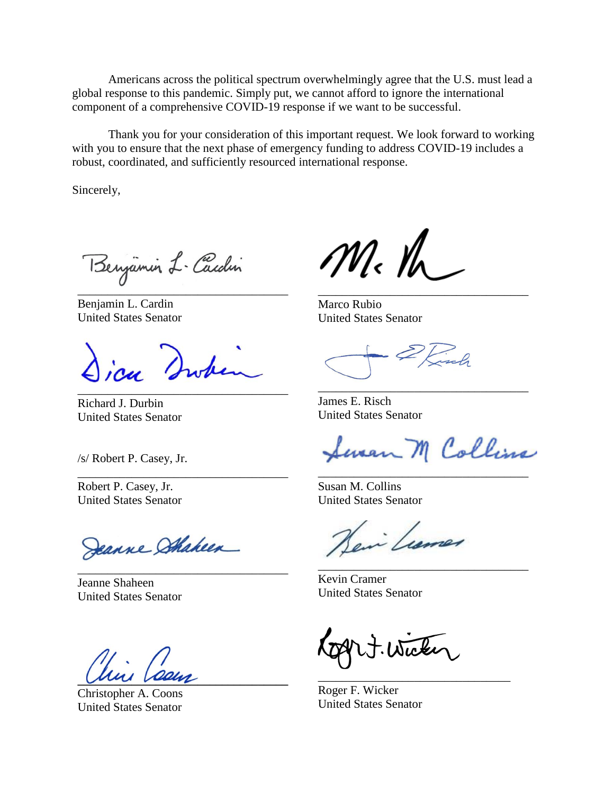Americans across the political spectrum overwhelmingly agree that the U.S. must lead a global response to this pandemic. Simply put, we cannot afford to ignore the international component of a comprehensive COVID-19 response if we want to be successful.

Thank you for your consideration of this important request. We look forward to working with you to ensure that the next phase of emergency funding to address COVID-19 includes a robust, coordinated, and sufficiently resourced international response.

Sincerely,

Benjamin L. Cardin \_\_\_\_\_\_\_\_\_\_\_\_\_\_\_\_\_\_\_\_\_\_\_\_\_\_\_\_\_\_\_\_\_\_\_

Benjamin L. Cardin United States Senator

icu Swh \_\_\_\_\_\_\_\_\_\_\_\_\_\_\_\_\_\_\_\_\_\_\_\_\_\_\_\_\_\_\_\_\_\_\_

\_\_\_\_\_\_\_\_\_\_\_\_\_\_\_\_\_\_\_\_\_\_\_\_\_\_\_\_\_\_\_\_\_\_\_

\_\_\_\_\_\_\_\_\_\_\_\_\_\_\_\_\_\_\_\_\_\_\_\_\_\_\_\_\_\_\_\_\_\_\_

Richard J. Durbin United States Senator

/s/ Robert P. Casey, Jr.

Robert P. Casey, Jr. United States Senator

Jeanne Shaheen

Jeanne Shaheen United States Senator

**\_\_\_\_\_\_\_\_\_\_\_\_\_\_\_\_\_\_\_\_\_\_\_\_\_\_\_\_\_\_\_\_\_\_\_**

Christopher A. Coons United States Senator

 $M_{\rm c}$  th

Marco Rubio United States Senator

James E. Risch United States Senator

Seven M Collins

\_\_\_\_\_\_\_\_\_\_\_\_\_\_\_\_\_\_\_\_\_\_\_\_\_\_\_\_\_\_\_\_\_\_\_

\_\_\_\_\_\_\_\_\_\_\_\_\_\_\_\_\_\_\_\_\_\_\_\_\_\_\_\_\_\_\_\_\_\_\_

\_\_\_\_\_\_\_\_\_\_\_\_\_\_\_\_\_\_\_\_\_\_\_\_\_\_\_\_\_\_\_\_\_\_\_

Susan M. Collins United States Senator

in Learnes \_\_\_\_\_\_\_\_\_\_\_\_\_\_\_\_\_\_\_\_\_\_\_\_\_\_\_\_\_\_\_\_\_\_\_

Kevin Cramer United States Senator

Wicker

\_\_\_\_\_\_\_\_\_\_\_\_\_\_\_\_\_\_\_\_\_\_\_\_\_\_\_\_\_\_\_\_

Roger F. Wicker United States Senator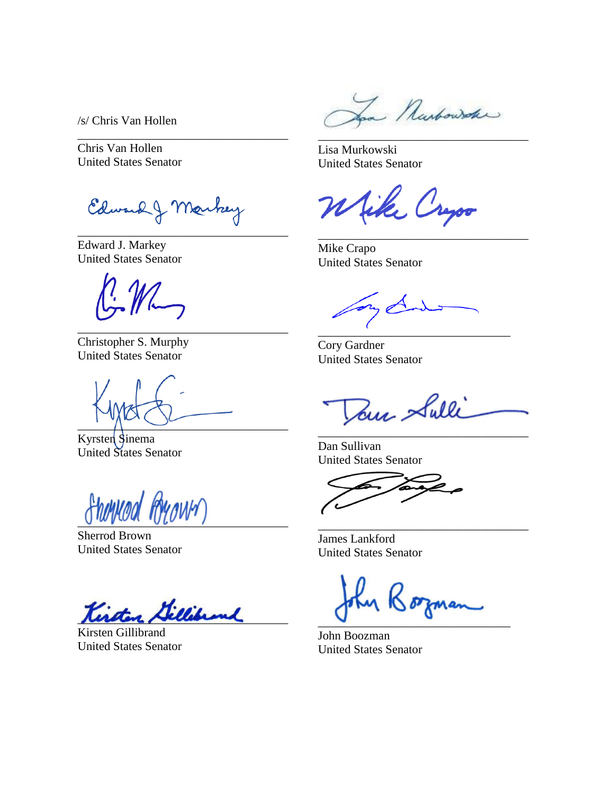/s/ Chris Van Hollen

Chris Van Hollen United States Senator

Edward J Markey \_\_\_\_\_\_\_\_\_\_\_\_\_\_\_\_\_\_\_\_\_\_\_\_\_\_\_\_\_\_\_\_\_\_\_

\_\_\_\_\_\_\_\_\_\_\_\_\_\_\_\_\_\_\_\_\_\_\_\_\_\_\_\_\_\_\_\_\_\_\_

Edward J. Markey United States Senator

\_\_\_\_\_\_\_\_\_\_\_\_\_\_\_\_\_\_\_\_\_\_\_\_\_\_\_\_\_\_\_\_\_\_\_ Christopher S. Murphy United States Senator

 $\frac{1}{\sqrt{2}}$ 

Kyrsten Sinema United States Senator

ftenneed Ryown

Sherrod Brown United States Senator

Killibrand

Kirsten Gillibrand United States Senator

Narbowske \_\_\_\_\_\_\_\_\_\_\_\_\_\_\_\_\_\_\_\_\_\_\_\_\_\_\_\_\_\_\_\_\_\_\_

Lisa Murkowski United States Senator

like Cryso

\_\_\_\_\_\_\_\_\_\_\_\_\_\_\_\_\_\_\_\_\_\_\_\_\_\_\_\_\_\_\_\_\_\_\_

Mike Crapo United States Senator

\_\_\_\_\_\_\_\_\_\_\_\_\_\_\_\_\_\_\_\_\_\_\_\_\_\_\_\_\_\_\_\_

Cory Gardner United States Senator

Tom Sulli \_\_\_\_\_\_\_\_\_\_\_\_\_\_\_\_\_\_\_\_\_\_\_\_\_\_\_\_\_\_\_\_\_\_\_

Dan Sullivan United States Senator

James Lankford United States Senator

16 orman \_\_\_\_\_\_\_\_\_\_\_\_\_\_\_\_\_\_\_\_\_\_\_\_\_\_\_\_\_\_\_\_

\_\_\_\_\_\_\_\_\_\_\_\_\_\_\_\_\_\_\_\_\_\_\_\_\_\_\_\_\_\_\_\_\_\_\_

John Boozman United States Senator